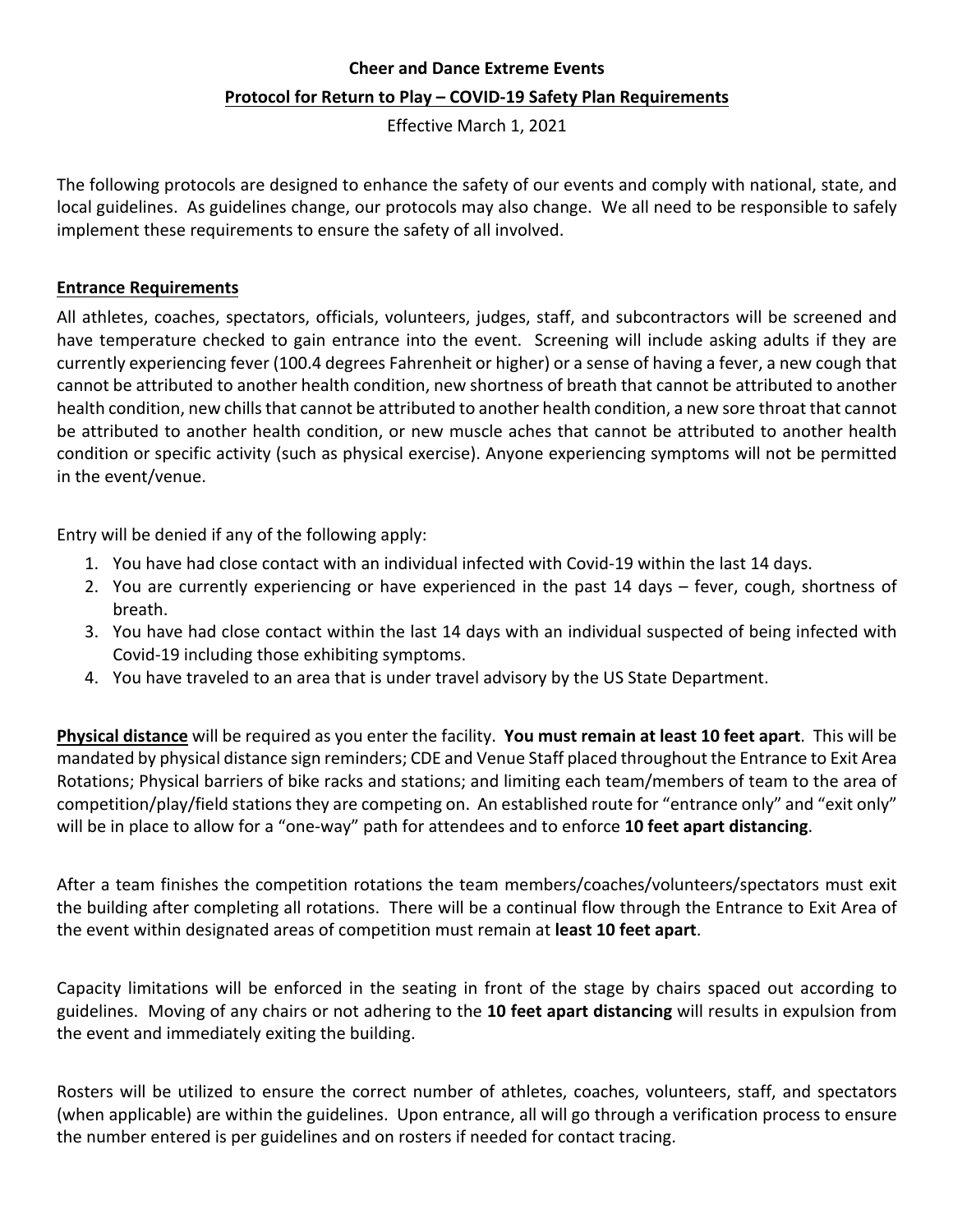## **Cheer and Dance Extreme Events Protocol for Return to Play – COVID-19 Safety Plan Requirements**

Effective March 1, 2021

The following protocols are designed to enhance the safety of our events and comply with national, state, and local guidelines. As guidelines change, our protocols may also change. We all need to be responsible to safely implement these requirements to ensure the safety of all involved.

## **Entrance Requirements**

All athletes, coaches, spectators, officials, volunteers, judges, staff, and subcontractors will be screened and have temperature checked to gain entrance into the event. Screening will include asking adults if they are currently experiencing fever (100.4 degrees Fahrenheit or higher) or a sense of having a fever, a new cough that cannot be attributed to another health condition, new shortness of breath that cannot be attributed to another health condition, new chills that cannot be attributed to another health condition, a new sore throat that cannot be attributed to another health condition, or new muscle aches that cannot be attributed to another health condition or specific activity (such as physical exercise). Anyone experiencing symptoms will not be permitted in the event/venue.

Entry will be denied if any of the following apply:

- 1. You have had close contact with an individual infected with Covid-19 within the last 14 days.
- 2. You are currently experiencing or have experienced in the past 14 days fever, cough, shortness of breath.
- 3. You have had close contact within the last 14 days with an individual suspected of being infected with Covid-19 including those exhibiting symptoms.
- 4. You have traveled to an area that is under travel advisory by the US State Department.

Physical distance will be required as you enter the facility. You must remain at least 10 feet apart. This will be mandated by physical distance sign reminders; CDE and Venue Staff placed throughout the Entrance to Exit Area Rotations; Physical barriers of bike racks and stations; and limiting each team/members of team to the area of competition/play/field stations they are competing on. An established route for "entrance only" and "exit only" will be in place to allow for a "one-way" path for attendees and to enforce **10 feet apart distancing**.

After a team finishes the competition rotations the team members/coaches/volunteers/spectators must exit the building after completing all rotations. There will be a continual flow through the Entrance to Exit Area of the event within designated areas of competition must remain at **least 10 feet apart**.

Capacity limitations will be enforced in the seating in front of the stage by chairs spaced out according to guidelines. Moving of any chairs or not adhering to the 10 feet apart distancing will results in expulsion from the event and immediately exiting the building.

Rosters will be utilized to ensure the correct number of athletes, coaches, volunteers, staff, and spectators (when applicable) are within the guidelines. Upon entrance, all will go through a verification process to ensure the number entered is per guidelines and on rosters if needed for contact tracing.